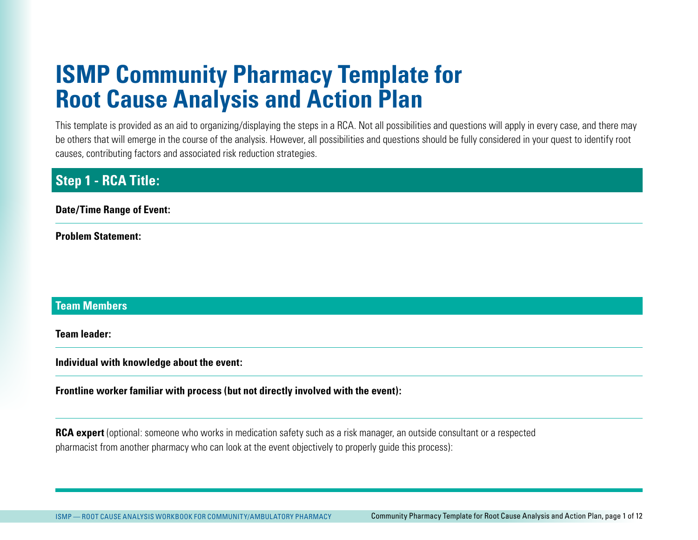# **ISMP Community Pharmacy Template for Root Cause Analysis and Action Plan**

This template is provided as an aid to organizing/displaying the steps in a RCA. Not all possibilities and questions will apply in every case, and there may be others that will emerge in the course of the analysis. However, all possibilities and questions should be fully considered in your quest to identify root causes, contributing factors and associated risk reduction strategies.

# **Step 1 - RCA Title:**

**Date/Time Range of Event:** 

**Problem Statement:** 

### **Team Members**

**Team leader:** 

**Individual with knowledge about the event:** 

**Frontline worker familiar with process (but not directly involved with the event):**

**RCA expert** (optional: someone who works in medication safety such as a risk manager, an outside consultant or a respected pharmacist from another pharmacy who can look at the event objectively to properly guide this process):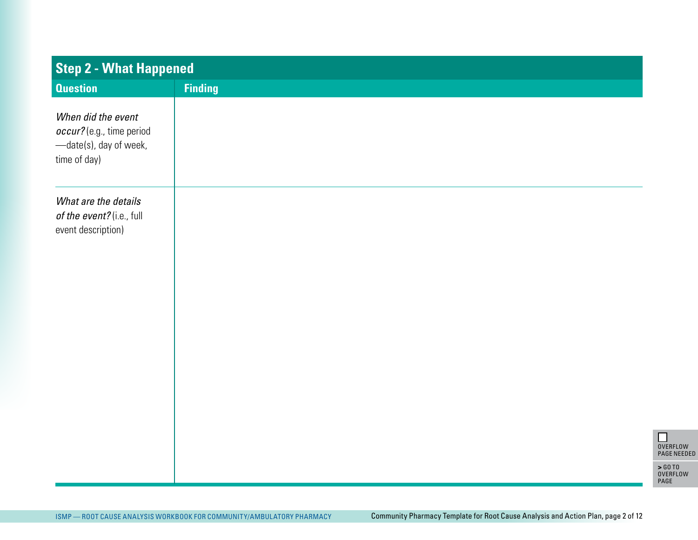| <b>Question</b><br><b>Finding</b><br>When did the event<br>occur? (e.g., time period<br>-date(s), day of week,<br>time of day) |  |
|--------------------------------------------------------------------------------------------------------------------------------|--|
|                                                                                                                                |  |
|                                                                                                                                |  |
| What are the details<br>of the event? (i.e., full<br>event description)                                                        |  |
|                                                                                                                                |  |
|                                                                                                                                |  |

OVERFLOW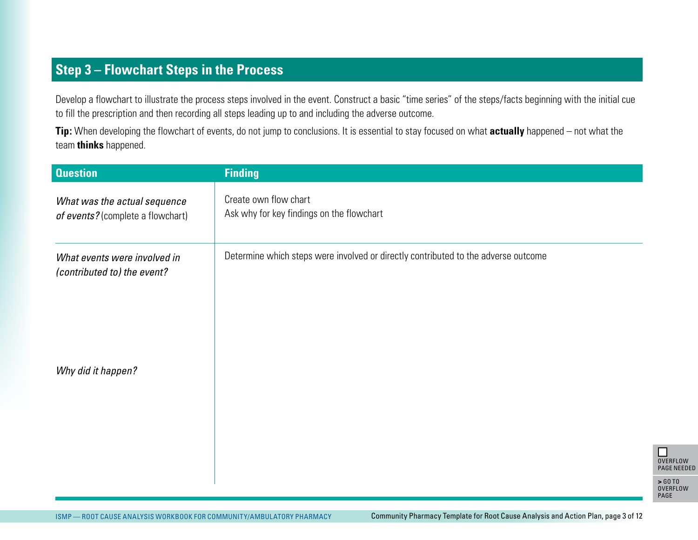# **Step 3 – Flowchart Steps in the Process**

Develop a flowchart to illustrate the process steps involved in the event. Construct a basic "time series" of the steps/facts beginning with the initial cue to fill the prescription and then recording all steps leading up to and including the adverse outcome.

**Tip:** When developing the flowchart of events, do not jump to conclusions. It is essential to stay focused on what **actually** happened – not what the team **thinks** happened.

| <b>Question</b>                                                       | <b>Finding</b>                                                                     |                                                                                  |
|-----------------------------------------------------------------------|------------------------------------------------------------------------------------|----------------------------------------------------------------------------------|
| What was the actual sequence<br>of events? (complete a flowchart)     | Create own flow chart<br>Ask why for key findings on the flowchart                 |                                                                                  |
| What events were involved in<br>(contributed to) the event?           | Determine which steps were involved or directly contributed to the adverse outcome |                                                                                  |
| Why did it happen?                                                    |                                                                                    |                                                                                  |
|                                                                       |                                                                                    | $\Box$<br>OVERFLOW<br><b>PAGE NEEDED</b><br>$>$ GO TO<br><b>OVERFLOW</b><br>PAGE |
| ISMP - ROOT CAUSE ANALYSIS WORKBOOK FOR COMMUNITY/AMBULATORY PHARMACY | Community Pharmacy Template for Root Cause Analysis and Action Plan, page 3 of 12  |                                                                                  |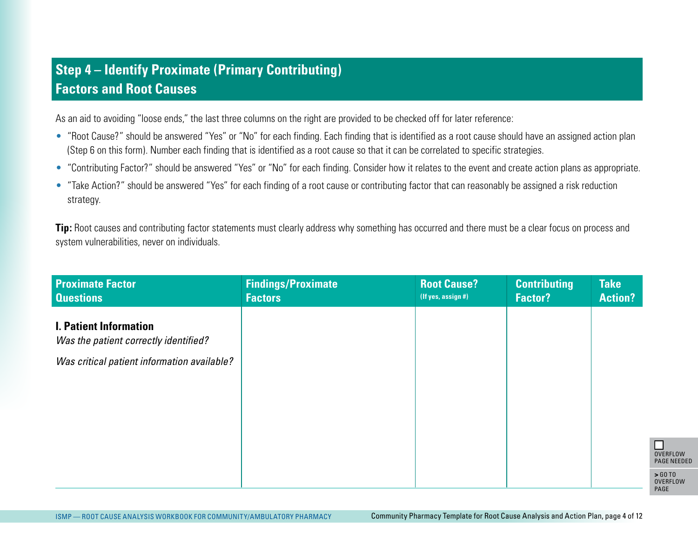# **Step 4 – Identify Proximate (Primary Contributing) Factors and Root Causes**

As an aid to avoiding "loose ends," the last three columns on the right are provided to be checked off for later reference:

- "Root Cause?" should be answered "Yes" or "No" for each finding. Each finding that is identified as a root cause should have an assigned action plan (Step 6 on this form). Number each finding that is identified as a root cause so that it can be correlated to specific strategies.
- "Contributing Factor?" should be answered "Yes" or "No" for each finding. Consider how it relates to the event and create action plans as appropriate.
- "Take Action?" should be answered "Yes" for each finding of a root cause or contributing factor that can reasonably be assigned a risk reduction strategy.

**Tip:** Root causes and contributing factor statements must clearly address why something has occurred and there must be a clear focus on process and system vulnerabilities, never on individuals.

| <b>Proximate Factor</b><br><b>Questions</b>                            | <b>Findings/Proximate</b><br><b>Factors</b> | <b>Root Cause?</b><br>(If yes, assign #)                                          | <b>Contributing</b><br><b>Factor?</b> | <b>Take</b><br><b>Action?</b> |                                     |
|------------------------------------------------------------------------|---------------------------------------------|-----------------------------------------------------------------------------------|---------------------------------------|-------------------------------|-------------------------------------|
| <b>I. Patient Information</b><br>Was the patient correctly identified? |                                             |                                                                                   |                                       |                               |                                     |
| Was critical patient information available?                            |                                             |                                                                                   |                                       |                               |                                     |
|                                                                        |                                             |                                                                                   |                                       |                               |                                     |
|                                                                        |                                             |                                                                                   |                                       |                               |                                     |
|                                                                        |                                             |                                                                                   |                                       |                               | $\Box$                              |
|                                                                        |                                             |                                                                                   |                                       |                               | <b>OVERFLOW</b><br><b>PAGE NEED</b> |
|                                                                        |                                             |                                                                                   |                                       |                               | > 60T0<br><b>OVERFLOW</b><br>PAGE   |
| ISMP - ROOT CAUSE ANALYSIS WORKBOOK FOR COMMUNITY/AMBULATORY PHARMACY  |                                             | Community Pharmacy Template for Root Cause Analysis and Action Plan, page 4 of 12 |                                       |                               |                                     |

**VERFLOW** PAGE NEEDED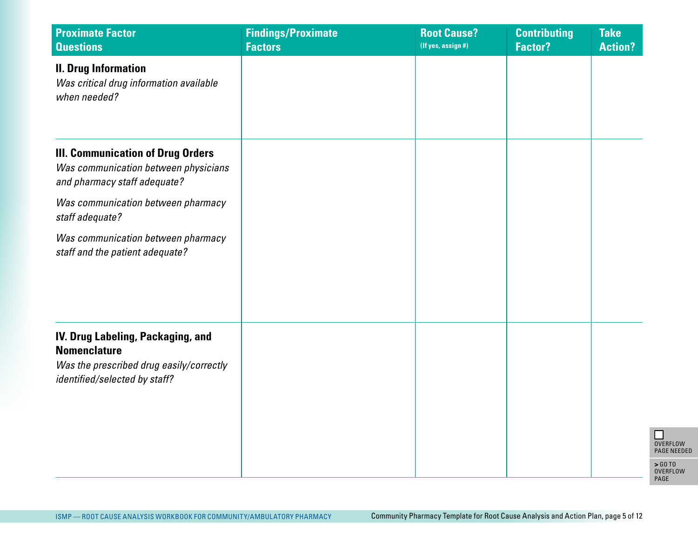| <b>Proximate Factor</b><br><b>Questions</b>                                                                                           | <b>Findings/Proximate</b><br><b>Factors</b> | <b>Root Cause?</b><br>(If yes, assign #) | <b>Contributing</b><br><b>Factor?</b> | <b>Take</b><br><b>Action?</b> |
|---------------------------------------------------------------------------------------------------------------------------------------|---------------------------------------------|------------------------------------------|---------------------------------------|-------------------------------|
| <b>II. Drug Information</b><br>Was critical drug information available<br>when needed?                                                |                                             |                                          |                                       |                               |
| <b>III. Communication of Drug Orders</b><br>Was communication between physicians<br>and pharmacy staff adequate?                      |                                             |                                          |                                       |                               |
| Was communication between pharmacy<br>staff adequate?                                                                                 |                                             |                                          |                                       |                               |
| Was communication between pharmacy<br>staff and the patient adequate?                                                                 |                                             |                                          |                                       |                               |
| IV. Drug Labeling, Packaging, and<br><b>Nomenclature</b><br>Was the prescribed drug easily/correctly<br>identified/selected by staff? |                                             |                                          |                                       |                               |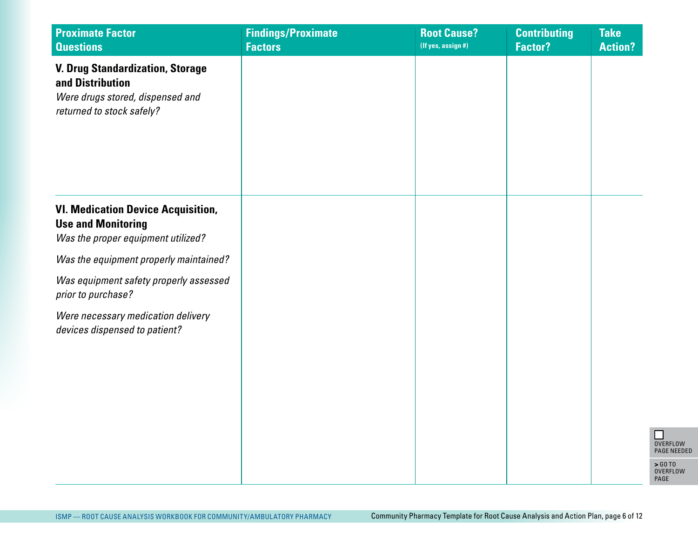| <b>Proximate Factor</b><br><b>Questions</b>                                                                                  | <b>Findings/Proximate</b><br><b>Factors</b> | <b>Root Cause?</b><br>(If yes, assign #) | <b>Contributing</b><br><b>Factor?</b> | <b>Take</b><br><b>Action?</b> |
|------------------------------------------------------------------------------------------------------------------------------|---------------------------------------------|------------------------------------------|---------------------------------------|-------------------------------|
| <b>V. Drug Standardization, Storage</b><br>and Distribution<br>Were drugs stored, dispensed and<br>returned to stock safely? |                                             |                                          |                                       |                               |
| <b>VI. Medication Device Acquisition,</b><br><b>Use and Monitoring</b><br>Was the proper equipment utilized?                 |                                             |                                          |                                       |                               |
| Was the equipment properly maintained?                                                                                       |                                             |                                          |                                       |                               |
| Was equipment safety properly assessed<br>prior to purchase?                                                                 |                                             |                                          |                                       |                               |
| Were necessary medication delivery<br>devices dispensed to patient?                                                          |                                             |                                          |                                       |                               |
|                                                                                                                              |                                             |                                          |                                       |                               |
|                                                                                                                              |                                             |                                          |                                       |                               |
|                                                                                                                              |                                             |                                          |                                       |                               |
|                                                                                                                              |                                             |                                          |                                       |                               |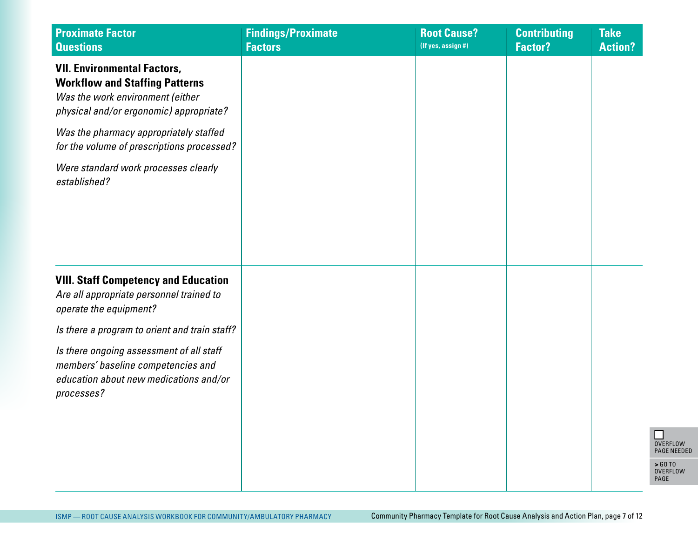| <b>Proximate Factor</b><br><b>Questions</b>                                                                                                                | <b>Findings/Proximate</b><br><b>Factors</b> | <b>Root Cause?</b><br>(If yes, assign #) | <b>Contributing</b><br><b>Factor?</b> | <b>Take</b><br><b>Action?</b> |
|------------------------------------------------------------------------------------------------------------------------------------------------------------|---------------------------------------------|------------------------------------------|---------------------------------------|-------------------------------|
| <b>VII. Environmental Factors,</b><br><b>Workflow and Staffing Patterns</b><br>Was the work environment (either<br>physical and/or ergonomic) appropriate? |                                             |                                          |                                       |                               |
| Was the pharmacy appropriately staffed<br>for the volume of prescriptions processed?                                                                       |                                             |                                          |                                       |                               |
| Were standard work processes clearly<br>established?                                                                                                       |                                             |                                          |                                       |                               |
|                                                                                                                                                            |                                             |                                          |                                       |                               |
| <b>VIII. Staff Competency and Education</b><br>Are all appropriate personnel trained to<br>operate the equipment?                                          |                                             |                                          |                                       |                               |
| Is there a program to orient and train staff?                                                                                                              |                                             |                                          |                                       |                               |
| Is there ongoing assessment of all staff<br>members' baseline competencies and<br>education about new medications and/or<br>processes?                     |                                             |                                          |                                       |                               |
|                                                                                                                                                            |                                             |                                          |                                       |                               |
|                                                                                                                                                            |                                             |                                          |                                       |                               |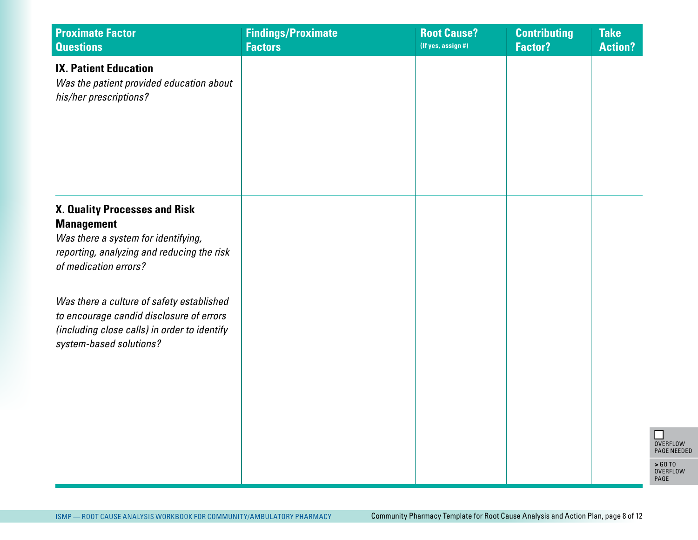| <b>Proximate Factor</b><br><b>Questions</b>                                                                                                                      | <b>Findings/Proximate</b><br><b>Factors</b> | <b>Root Cause?</b><br>(If yes, assign #) | <b>Contributing</b><br><b>Factor?</b> | <b>Take</b><br><b>Action?</b> |
|------------------------------------------------------------------------------------------------------------------------------------------------------------------|---------------------------------------------|------------------------------------------|---------------------------------------|-------------------------------|
| <b>IX. Patient Education</b><br>Was the patient provided education about<br>his/her prescriptions?                                                               |                                             |                                          |                                       |                               |
| X. Quality Processes and Risk<br><b>Management</b><br>Was there a system for identifying,<br>reporting, analyzing and reducing the risk<br>of medication errors? |                                             |                                          |                                       |                               |
| Was there a culture of safety established<br>to encourage candid disclosure of errors<br>(including close calls) in order to identify<br>system-based solutions? |                                             |                                          |                                       |                               |
|                                                                                                                                                                  |                                             |                                          |                                       |                               |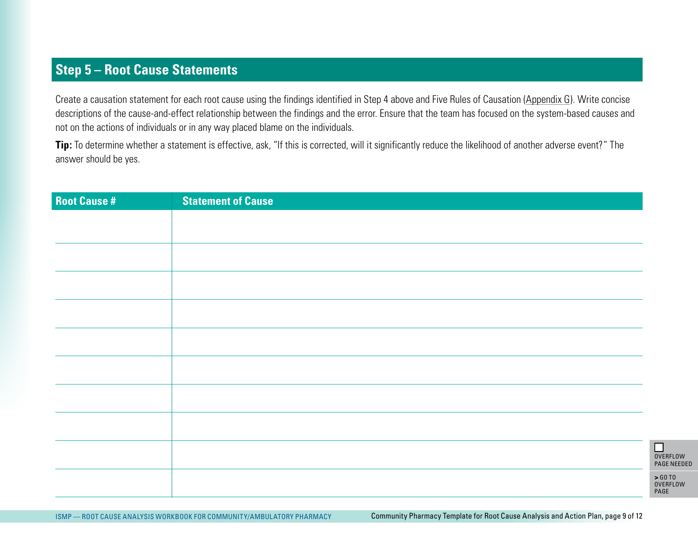### **Step 5 – Root Cause Statements**

Create a causation statement for each root cause using the findings identified in Step 4 above and Five Rules of Causation (Appendix G). Write concise descriptions of the cause-and-effect relationship between the findings and the error. Ensure that the team has focused on the system-based causes and not on the actions of individuals or in any way placed blame on the individuals.

**Tip:** To determine whether a statement is effective, ask, "If this is corrected, will it significantly reduce the likelihood of another adverse event?" The answer should be yes.

| <b>Root Cause #</b> | <b>Statement of Cause</b>                                                                                                                                  |                                       |
|---------------------|------------------------------------------------------------------------------------------------------------------------------------------------------------|---------------------------------------|
|                     |                                                                                                                                                            |                                       |
|                     |                                                                                                                                                            |                                       |
|                     |                                                                                                                                                            |                                       |
|                     |                                                                                                                                                            |                                       |
|                     |                                                                                                                                                            |                                       |
|                     |                                                                                                                                                            |                                       |
|                     |                                                                                                                                                            |                                       |
|                     |                                                                                                                                                            |                                       |
|                     |                                                                                                                                                            |                                       |
|                     |                                                                                                                                                            |                                       |
|                     |                                                                                                                                                            |                                       |
|                     |                                                                                                                                                            |                                       |
|                     |                                                                                                                                                            |                                       |
|                     |                                                                                                                                                            | $\Box$                                |
|                     |                                                                                                                                                            | <b>OVERFLOW</b><br><b>PAGE NEEDED</b> |
|                     |                                                                                                                                                            | > GO TO<br>OVERFLOW                   |
|                     |                                                                                                                                                            | PAGE                                  |
|                     | Community Pharmacy Template for Root Cause Analysis and Action Plan, page 9 of 12<br>ISMP - ROOT CAUSE ANALYSIS WORKBOOK FOR COMMUNITY/AMBULATORY PHARMACY |                                       |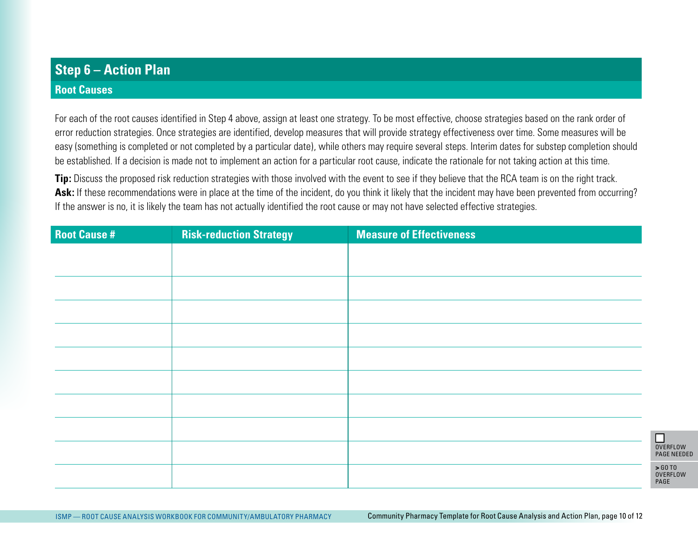# **Step 6 – Action Plan**

#### **Root Causes**

For each of the root causes identified in Step 4 above, assign at least one strategy. To be most effective, choose strategies based on the rank order of error reduction strategies. Once strategies are identified, develop measures that will provide strategy effectiveness over time. Some measures will be easy (something is completed or not completed by a particular date), while others may require several steps. Interim dates for substep completion should be established. If a decision is made not to implement an action for a particular root cause, indicate the rationale for not taking action at this time.

Tip: Discuss the proposed risk reduction strategies with those involved with the event to see if they believe that the RCA team is on the right track. Ask: If these recommendations were in place at the time of the incident, do you think it likely that the incident may have been prevented from occurring? If the answer is no, it is likely the team has not actually identified the root cause or may not have selected effective strategies.

| <b>Root Cause #</b> | <b>Risk-reduction Strategy</b>                                        | <b>Measure of Effectiveness</b>                                                    |                                  |
|---------------------|-----------------------------------------------------------------------|------------------------------------------------------------------------------------|----------------------------------|
|                     |                                                                       |                                                                                    |                                  |
|                     |                                                                       |                                                                                    |                                  |
|                     |                                                                       |                                                                                    |                                  |
|                     |                                                                       |                                                                                    |                                  |
|                     |                                                                       |                                                                                    |                                  |
|                     |                                                                       |                                                                                    |                                  |
|                     |                                                                       |                                                                                    |                                  |
|                     |                                                                       |                                                                                    |                                  |
|                     |                                                                       |                                                                                    | $\Box$                           |
|                     |                                                                       |                                                                                    | <b>OVERFLO</b><br><b>PAGE NE</b> |
|                     |                                                                       |                                                                                    | > 60T0<br><b>OVERFLO</b><br>PAGE |
|                     |                                                                       |                                                                                    |                                  |
|                     | ISMP - ROOT CAUSE ANALYSIS WORKBOOK FOR COMMUNITY/AMBULATORY PHARMACY | Community Pharmacy Template for Root Cause Analysis and Action Plan, page 10 of 12 |                                  |

OVERFLOW PAGE NEEDED OVERFLOW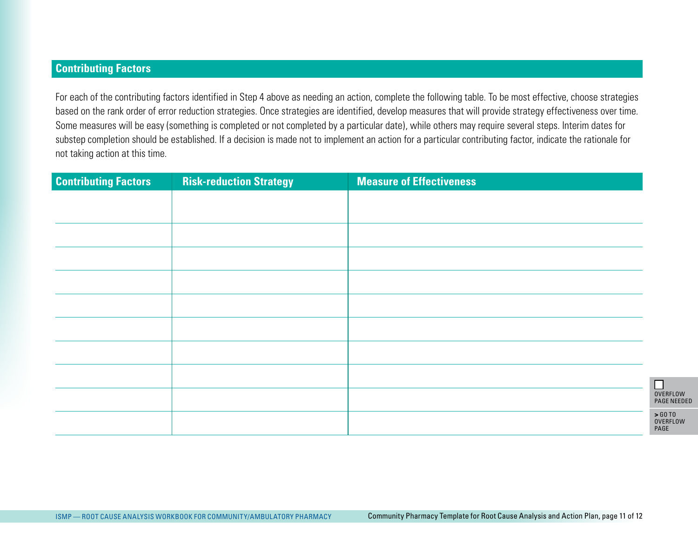#### **Contributing Factors**

For each of the contributing factors identified in Step 4 above as needing an action, complete the following table. To be most effective, choose strategies based on the rank order of error reduction strategies. Once strategies are identified, develop measures that will provide strategy effectiveness over time. Some measures will be easy (something is completed or not completed by a particular date), while others may require several steps. Interim dates for substep completion should be established. If a decision is made not to implement an action for a particular contributing factor, indicate the rationale for not taking action at this time.

| <b>Contributing Factors</b> | <b>Risk-reduction Strategy</b>                                        | <b>Measure of Effectiveness</b>                                                    |                                                 |
|-----------------------------|-----------------------------------------------------------------------|------------------------------------------------------------------------------------|-------------------------------------------------|
|                             |                                                                       |                                                                                    |                                                 |
|                             |                                                                       |                                                                                    |                                                 |
|                             |                                                                       |                                                                                    |                                                 |
|                             |                                                                       |                                                                                    |                                                 |
|                             |                                                                       |                                                                                    |                                                 |
|                             |                                                                       |                                                                                    |                                                 |
|                             |                                                                       |                                                                                    |                                                 |
|                             |                                                                       |                                                                                    |                                                 |
|                             |                                                                       |                                                                                    | $\Box$<br><b>OVERFLOW</b><br><b>PAGE NEEDED</b> |
|                             |                                                                       |                                                                                    | > 60T0<br>OVERFLOW<br>PAGE                      |
|                             |                                                                       |                                                                                    |                                                 |
|                             |                                                                       |                                                                                    |                                                 |
|                             |                                                                       |                                                                                    |                                                 |
|                             | ISMP - ROOT CAUSE ANALYSIS WORKBOOK FOR COMMUNITY/AMBULATORY PHARMACY | Community Pharmacy Template for Root Cause Analysis and Action Plan, page 11 of 12 |                                                 |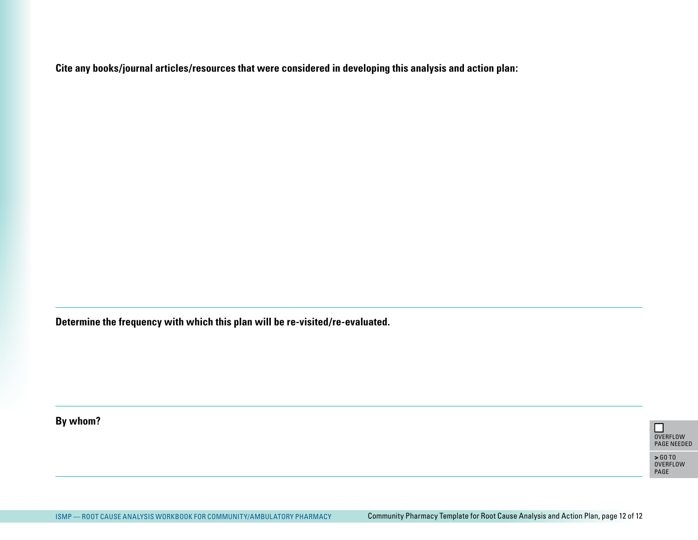**Cite any books/journal articles/resources that were considered in developing this analysis and action plan:**

**Determine the frequency with which this plan will be re-visited/re-evaluated.**

**By whom?** 



PAGE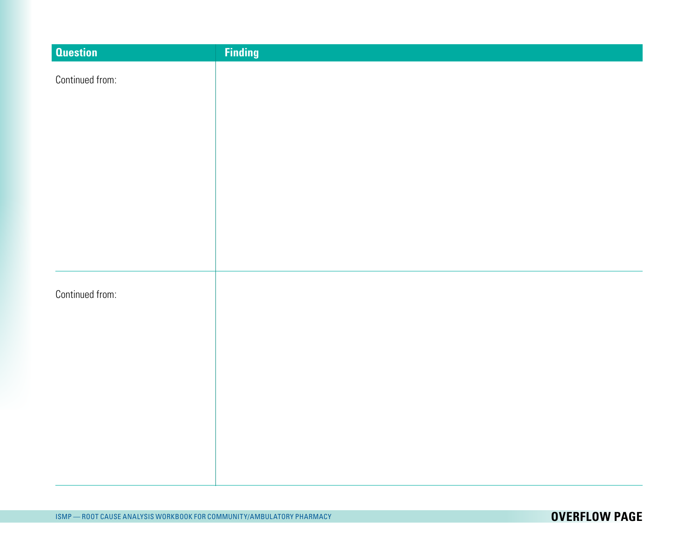| <b>Question</b> | <b>Finding</b> |
|-----------------|----------------|
| Continued from: |                |
|                 |                |
|                 |                |
|                 |                |
|                 |                |
|                 |                |
|                 |                |
|                 |                |
|                 |                |
|                 |                |
|                 |                |
|                 |                |
| Continued from: |                |
|                 |                |
|                 |                |
|                 |                |
|                 |                |
|                 |                |
|                 |                |
|                 |                |
|                 |                |
|                 |                |
|                 |                |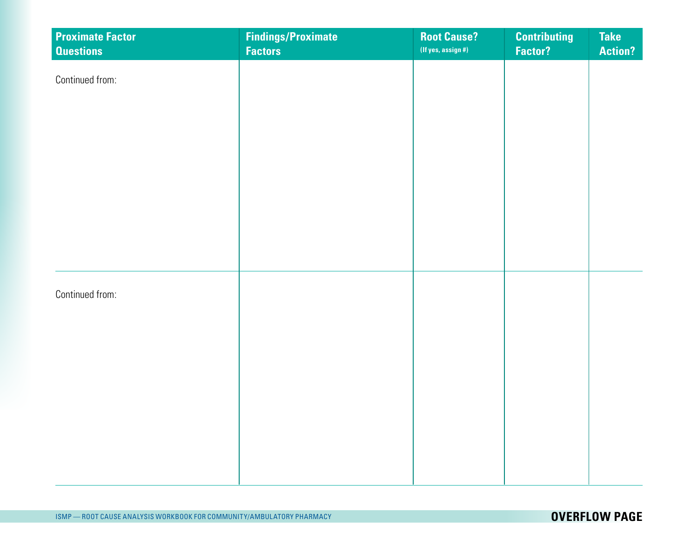| <b>Proximate Factor</b><br><b>Questions</b> | <b>Findings/Proximate</b><br><b>Factors</b> | <b>Root Cause?</b><br>(If yes, assign #) | <b>Contributing</b><br>Factor? | <b>Take</b><br><b>Action?</b> |
|---------------------------------------------|---------------------------------------------|------------------------------------------|--------------------------------|-------------------------------|
| Continued from:                             |                                             |                                          |                                |                               |
|                                             |                                             |                                          |                                |                               |
|                                             |                                             |                                          |                                |                               |
|                                             |                                             |                                          |                                |                               |
|                                             |                                             |                                          |                                |                               |
|                                             |                                             |                                          |                                |                               |
| Continued from:                             |                                             |                                          |                                |                               |
|                                             |                                             |                                          |                                |                               |
|                                             |                                             |                                          |                                |                               |
|                                             |                                             |                                          |                                |                               |
|                                             |                                             |                                          |                                |                               |
|                                             |                                             |                                          |                                |                               |
|                                             |                                             |                                          |                                |                               |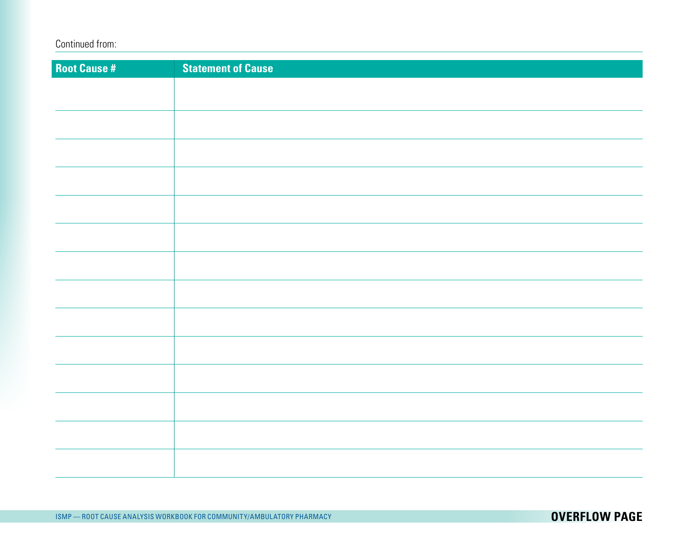| <b>Root Cause #</b> | <b>Statement of Cause</b> |
|---------------------|---------------------------|
|                     |                           |
|                     |                           |
|                     |                           |
|                     |                           |
|                     |                           |
|                     |                           |
|                     |                           |
|                     |                           |
|                     |                           |
|                     |                           |
|                     |                           |
|                     |                           |
|                     |                           |
|                     |                           |
|                     |                           |
|                     |                           |
|                     |                           |
|                     |                           |
|                     |                           |
|                     |                           |
|                     |                           |
|                     |                           |
|                     |                           |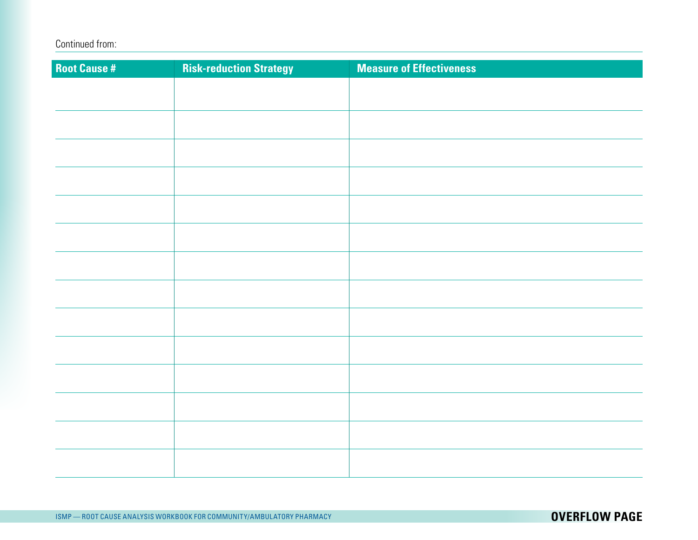| <b>Root Cause #</b> | <b>Risk-reduction Strategy</b> | <b>Measure of Effectiveness</b> |
|---------------------|--------------------------------|---------------------------------|
|                     |                                |                                 |
|                     |                                |                                 |
|                     |                                |                                 |
|                     |                                |                                 |
|                     |                                |                                 |
|                     |                                |                                 |
|                     |                                |                                 |
|                     |                                |                                 |
|                     |                                |                                 |
|                     |                                |                                 |
|                     |                                |                                 |
|                     |                                |                                 |
|                     |                                |                                 |
|                     |                                |                                 |
|                     |                                |                                 |
|                     |                                |                                 |
|                     |                                |                                 |
|                     |                                |                                 |
|                     |                                |                                 |
|                     |                                |                                 |
|                     |                                |                                 |
|                     |                                |                                 |
|                     |                                |                                 |